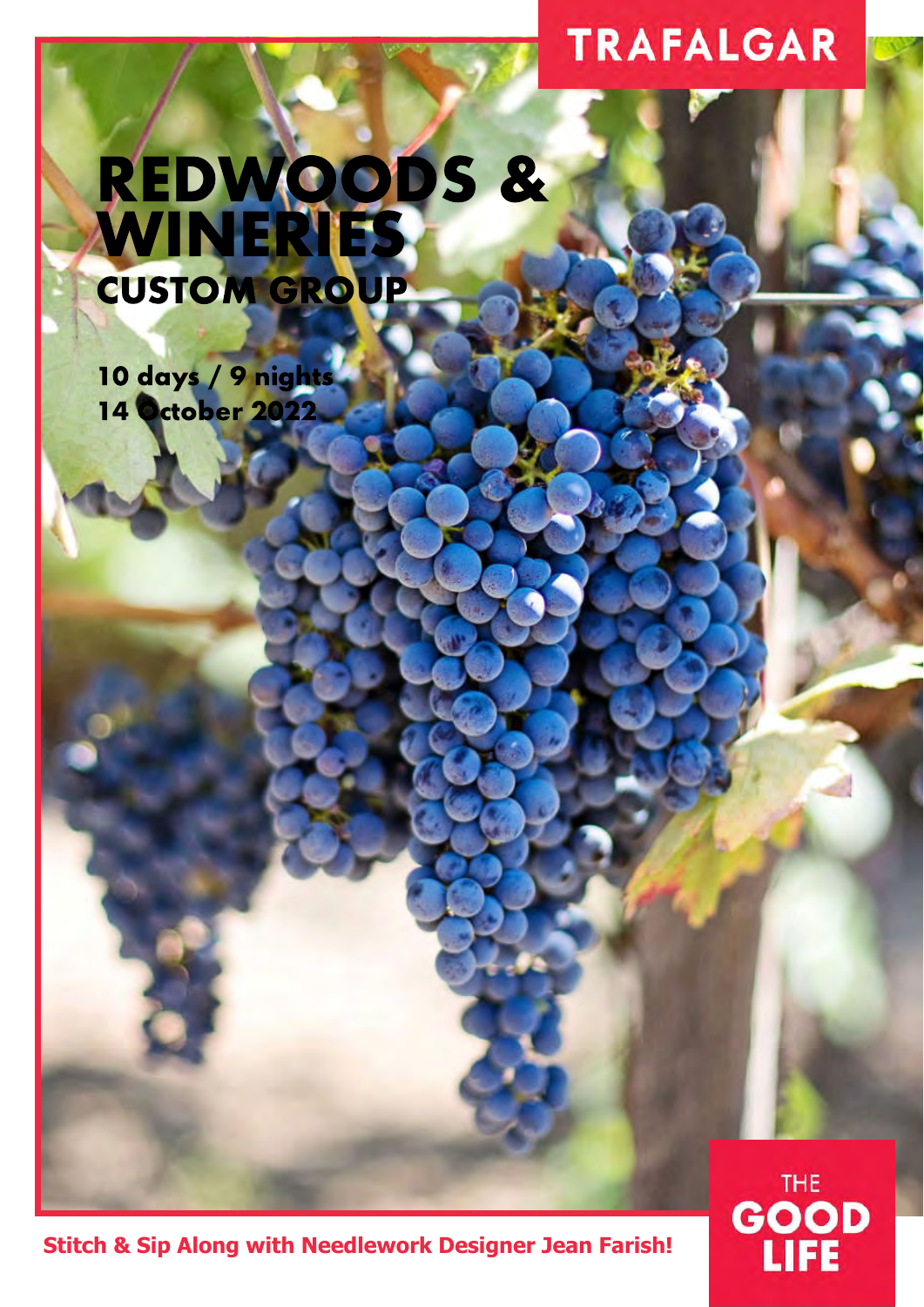## **TRAFALGAR**

**THE** 

**GOOD** 

**JFE** 

# REDWOODS & WINERIES CUSTOM GROUP

10 days / 9 nights 14 October 2022

**Stitch & Sip Along with Needlework Designer Jean Farish!**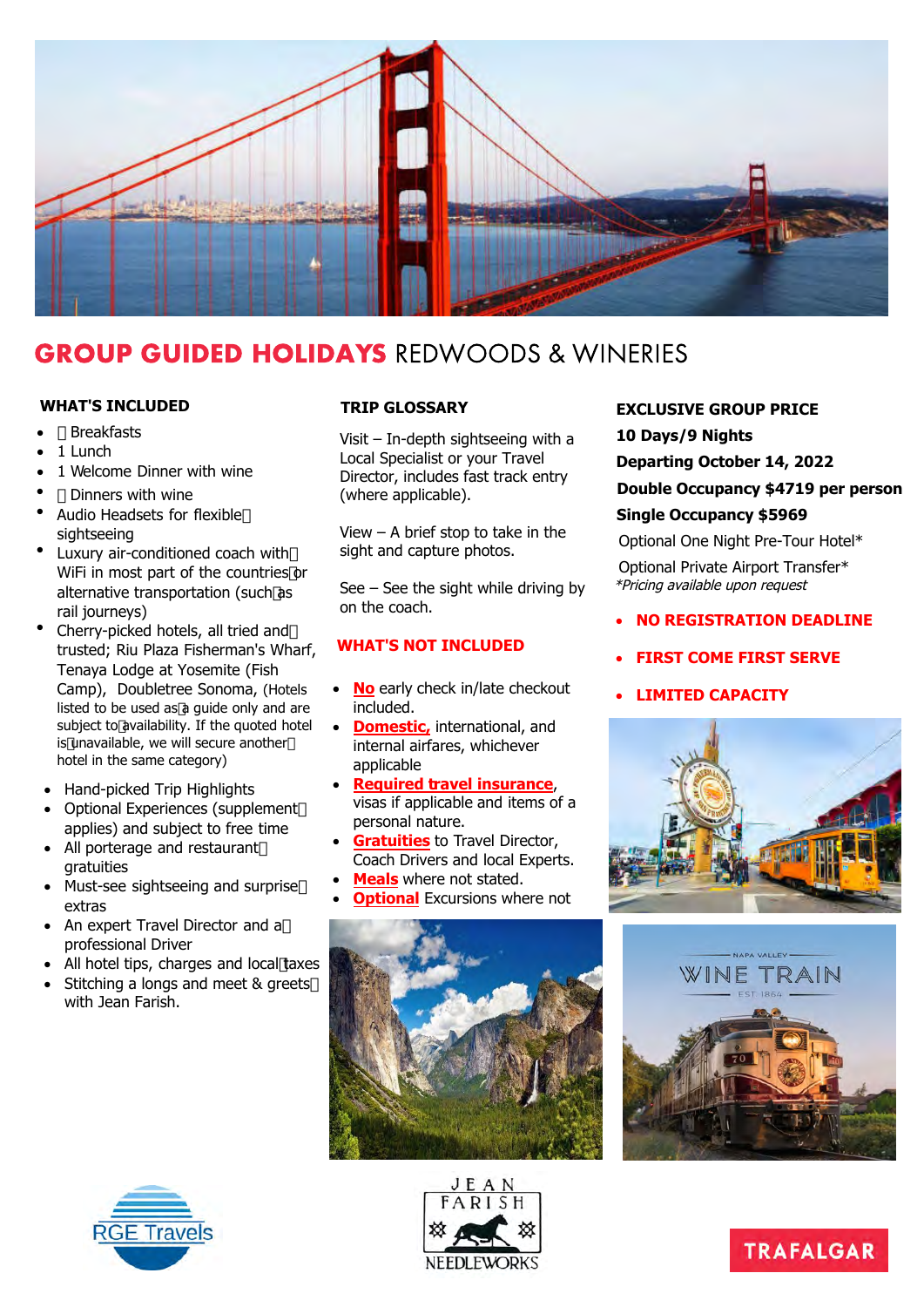

## GROUP GUIDED HOLIDAYS REDWOODS & WINERIES

#### **WHAT'S INCLUDED**

- Breakfasts
- 1 Lunch
- 1 Welcome Dinner with wine
- Dinners with wine
- Audio Headsets for flexible sightseeing
- Luxury air-conditioned coach with WiFi in most part of the countries or alternative transportation (such as rail journeys)
- Cherry-picked hotels, all tried and trusted; Riu Plaza Fisherman's Wharf, Tenaya Lodge at Yosemite (Fish Camp), Doubletree Sonoma, (Hotels listed to be used as a guide only and are subject to availability. If the quoted hotel is unavailable, we will secure another hotel in the same category)
- Hand-picked Trip Highlights
- Optional Experiences (supplement applies) and subject to free time
- All porterage and restaurant gratuities
- Must-see sightseeing and surprise extras
- An expert Travel Director and a professional Driver
- All hotel tips, charges and local taxes
- Stitching a longs and meet & greets with Jean Farish.

#### **TRIP GLOSSARY**

Visit – In-depth sightseeing with a Local Specialist or your Travel Director, includes fast track entry (where applicable).

View – A brief stop to take in the sight and capture photos.

See – See the sight while driving by on the coach.

#### **WHAT'S NOT INCLUDED**

- **No** early check in/late checkout included.
- **Domestic, international, and** internal airfares, whichever applicable
- **Required travel insurance**, visas if applicable and items of a personal nature.
- **Gratuities** to Travel Director, Coach Drivers and local Experts.
- **Meals** where not stated.
- **Optional** Excursions where not







#### **EXCLUSIVE GROUP PRICE**

**10 Days/9 Nights**

**Departing October 14, 2022**

**Double Occupancy \$4719 per person Single Occupancy \$5969**

Optional One Night Pre-Tour Hotel\*

Optional Private Airport Transfer\* \*Pricing available upon request

- **NO REGISTRATION DEADLINE**
- **FIRST COME FIRST SERVE**
- **LIMITED CAPACITY**





**TRAFALGAR**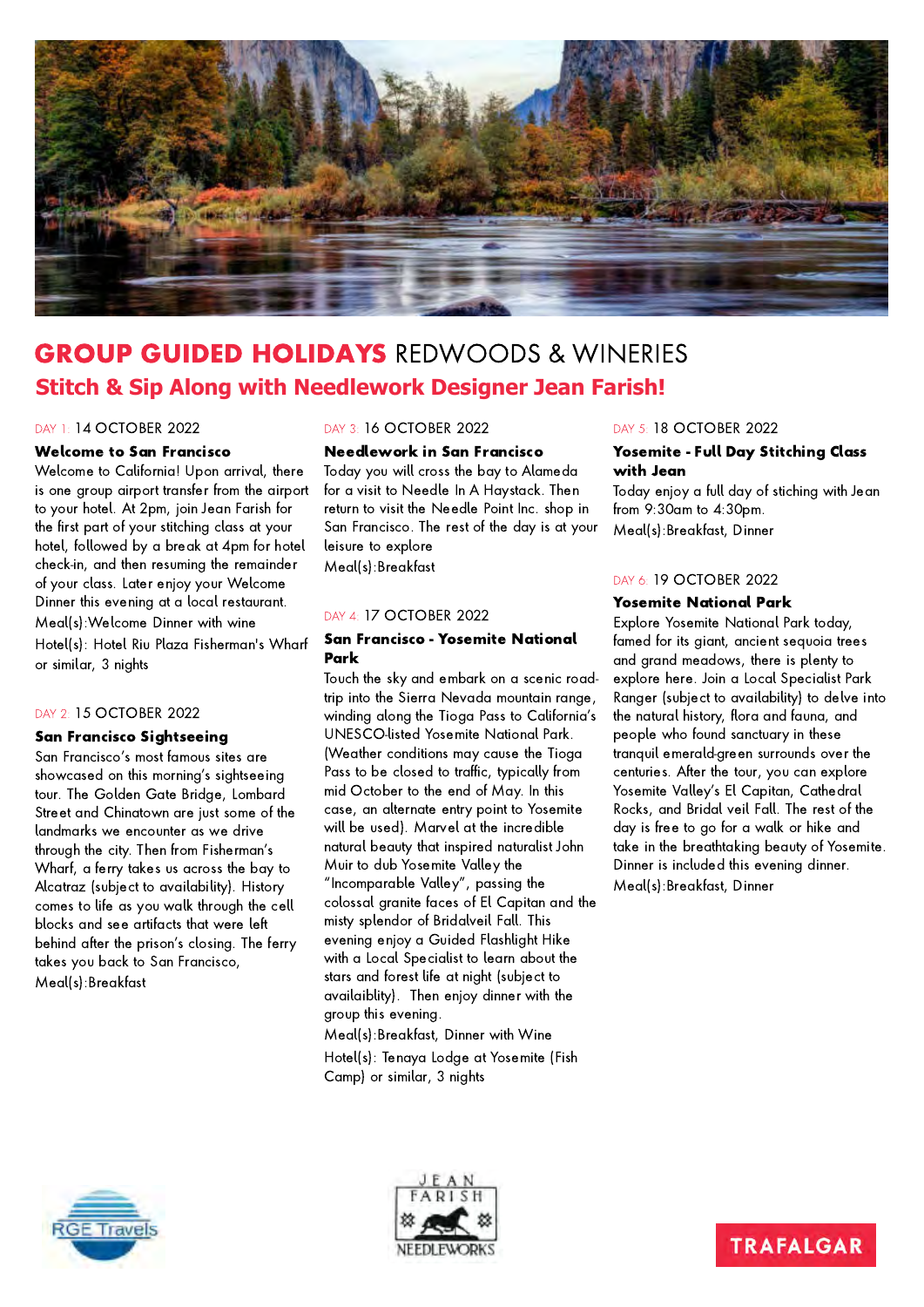

## GROUP GUIDED HOLIDAYS REDWOODS & WINERIES **Stitch & Sip Along with Needlework Designer Jean Farish!**

#### DAY 1: 14 OCTOBER 2022

#### Welcome to San Francisco

Welcome to California! Upon arrival, there is one group airport transfer from the airport to your hotel. At 2pm, join Jean Farish for the first part of your stitching class at your hotel, followed by a break at 4pm for hotel check-in, and then resuming the remainder of your class. Later enjoy your Welcome Dinner this evening at a local restaurant. Meal(s):Welcome Dinner with wine Hotel(s): Hotel Riu Plaza Fisherman's Wharf or similar, 3 nights

#### DAY 2: 15 OCTOBER 2022

#### San Francisco Sightseeing

San Francisco's most famous sites are showcased on this morning's sightseeing tour. The Golden Gate Bridge, Lombard Street and Chinatown are just some of the landmarks we encounter as we drive through the city. Then from Fisherman's Wharf, a ferry takes us across the bay to Alcatraz (subject to availability). History comes to life as you walk through the cell blocks and see artifacts that were left behind after the prison's closing. The ferry takes you back to San Francisco, Meal(s):Breakfast

#### DAY 3: 16 OCTOBER 2022

#### Needlework in San Francisco

Today you will cross the bay to Alameda for a visit to Needle In A Haystack. Then return to visit the Needle Point Inc. shop in San Francisco. The rest of the day is at your leisure to explore Meal(s):Breakfast

#### DAY 4: 17 OCTOBER 2022

#### San Francisco - Yosemite National Park

Touch the sky and embark on a scenic roadtrip into the Sierra Nevada mountain range, winding along the Tioga Pass to California's UNESCO-listed Yosemite National Park. (Weather conditions may cause the Tioga Pass to be closed to traffic, typically from mid October to the end of May. In this case, an alternate entry point to Yosemite will be used). Marvel at the incredible natural beauty that inspired naturalist John Muir to dub Yosemite Valley the "Incomparable Valley", passing the colossal granite faces of El Capitan and the misty splendor of Bridalveil Fall. This evening enjoy a Guided Flashlight Hike with a Local Specialist to learn about the stars and forest life at night (subject to availaiblity). Then enjoy dinner with the group this evening. Meal(s):Breakfast, Dinner with Wine

Hotel(s): Tenaya Lodge at Yosemite (Fish Camp) or similar, 3 nights

#### DAY 5: 18 OCTOBER 2022

#### Yosemite - Full Day Stitching Class with Jean

Today enjoy a full day of stiching with Jean from 9:30am to 4:30pm. Meal(s):Breakfast, Dinner

#### DAY 6: 19 OCTOBER 2022

#### Yosemite National Park

Explore Yosemite National Park today, famed for its giant, ancient sequoia trees and grand meadows, there is plenty to explore here. Join a Local Specialist Park Ranger (subject to availability) to delve into the natural history, flora and fauna, and people who found sanctuary in these tranquil emerald-green surrounds over the centuries. After the tour, you can explore Yosemite Valley's El Capitan, Cathedral Rocks, and Bridal veil Fall. The rest of the day is free to go for a walk or hike and take in the breathtaking beauty of Yosemite. Dinner is included this evening dinner. Meal(s):Breakfast, Dinner





### **TRAFALGAR**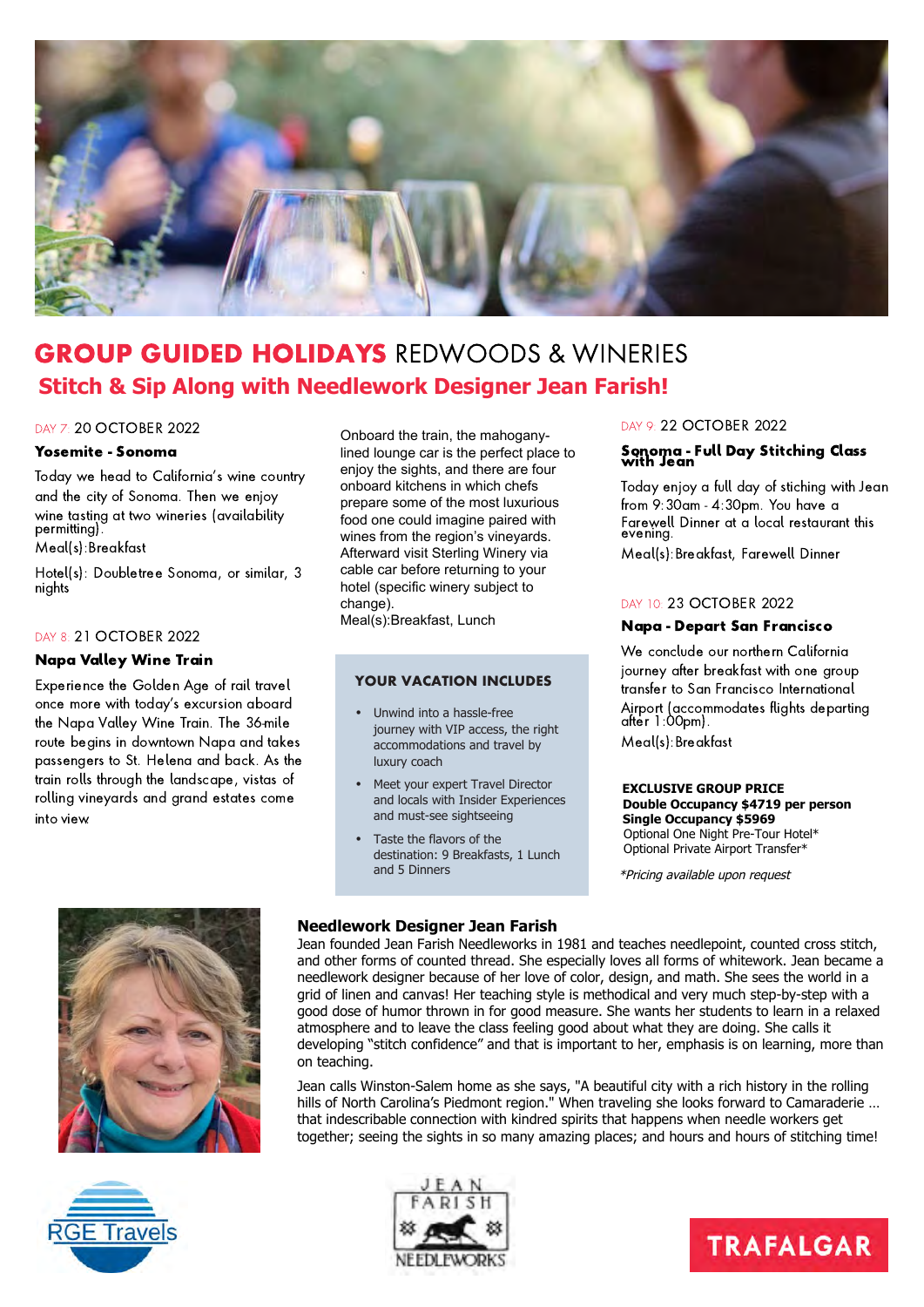

## GROUP GUIDED HOLIDAYS REDWOODS & WINERIES **Stitch & Sip Along with Needlework Designer Jean Farish!**

#### DAY 7: 20 OCTOBER 2022

#### Yosemite - Sonoma

Today we head to California's wine country and the city of Sonoma. Then we enjoy wine tasting at two wineries (availability permitting).

Meal(s):Breakfast

Hotel(s): Doubletree Sonoma, or similar, 3 nights<sup>'</sup>

#### DAY 8: 21 OCTOBER 2022

#### Napa Valley Wine Train

Experience the Golden Age of rail travel once more with today's excursion aboard the Napa Valley Wine Train. The 36-mile route begins in downtown Napa and takes passengers to St. Helena and back. As the train rolls through the landscape, vistas of rolling vineyards and grand estates come into view.

Onboard the train, the mahoganylined lounge car is the perfect place to enjoy the sights, and there are four onboard kitchens in which chefs prepare some of the most luxurious food one could imagine paired with wines from the region's vineyards. Afterward visit Sterling Winery via cable car before returning to your hotel (specific winery subject to change). Meal(s):Breakfast, Lunch

#### **YOUR VACATION INCLUDES**

- Unwind into a hassle-free journey with VIP access, the right accommodations and travel by luxury coach
- Meet your expert Travel Director and locals with Insider Experiences and must-see sightseeing
- Taste the flavors of the destination: 9 Breakfasts, 1 Lunch and 5 Dinners

#### DAY 9: 22 OCTOBER 2022

## Sonoma - Full Day Stitching Class with Jean

Today enjoy a full day of stiching with Jean from 9:30am - 4:30pm. You have a Farewell Dinner at a local restaurant this evening.

Meal(s):Breakfast, Farewell Dinner

#### DAY 10: 23 OCTOBER 2022

#### Napa - Depart San Francisco

We conclude our northern California journey after breakfast with one group transfer to San Francisco International Airport (accommodates flights departing after 1:00pm). Meal(s):Breakfast

**EXCLUSIVE GROUP PRICE Double Occupancy \$4719 per person Single Occupancy \$5969**

Optional One Night Pre-Tour Hotel\* Optional Private Airport Transfer\*

\*Pricing available upon request



#### **Needlework Designer Jean Farish**

Jean founded Jean Farish Needleworks in 1981 and teaches needlepoint, counted cross stitch, and other forms of counted thread. She especially loves all forms of whitework. Jean became a needlework designer because of her love of color, design, and math. She sees the world in a grid of linen and canvas! Her teaching style is methodical and very much step-by-step with a good dose of humor thrown in for good measure. She wants her students to learn in a relaxed atmosphere and to leave the class feeling good about what they are doing. She calls it developing "stitch confidence" and that is important to her, emphasis is on learning, more than on teaching.

Jean calls Winston-Salem home as she says, "A beautiful city with a rich history in the rolling hills of North Carolina's Piedmont region." When traveling she looks forward to Camaraderie … that indescribable connection with kindred spirits that happens when needle workers get together; seeing the sights in so many amazing places; and hours and hours of stitching time!





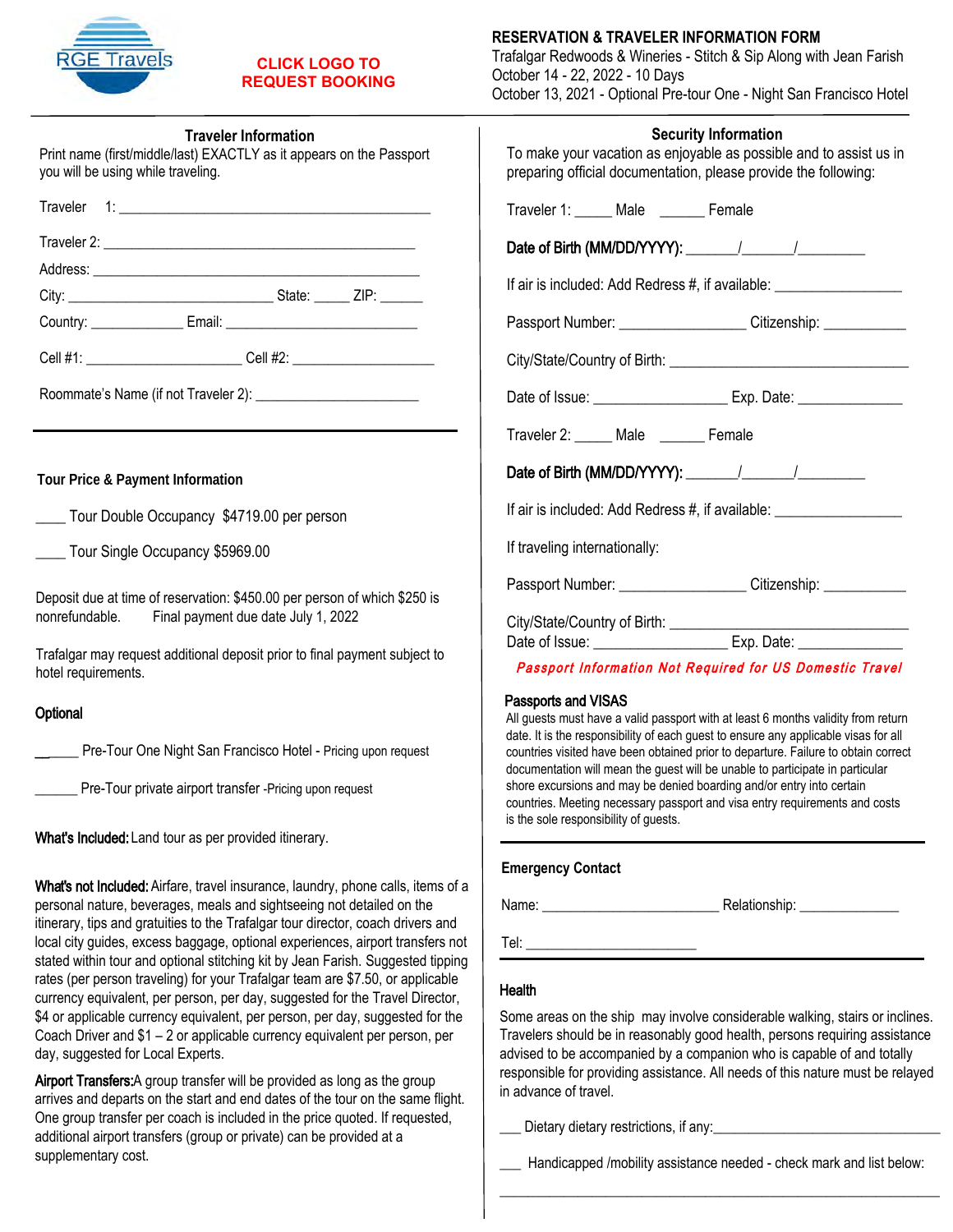

### **CLICK LOGO TO [REQUEST BOOKING](www.funseas.com/redwoods-form)**

| <b>Traveler Information</b> |  |
|-----------------------------|--|
|-----------------------------|--|

| Print name (first/middle/last) EXACTLY as it appears on the Passport<br>you will be using while traveling. |  |  |
|------------------------------------------------------------------------------------------------------------|--|--|
|                                                                                                            |  |  |
|                                                                                                            |  |  |
|                                                                                                            |  |  |
|                                                                                                            |  |  |
|                                                                                                            |  |  |
|                                                                                                            |  |  |

Roommate's Name (if not Traveler 2): \_\_\_\_\_\_\_\_\_\_\_\_\_\_\_\_\_\_\_\_\_\_\_

**Tour Price & Payment Information**

| Tour Double Occupancy \$4719.00 per person |  |
|--------------------------------------------|--|
|--------------------------------------------|--|

\_\_\_\_ Tour Single Occupancy \$5969.00

Deposit due at time of reservation: \$450.00 per person of which \$250 is nonrefundable. Final payment due date July 1, 2022

Trafalgar may request additional deposit prior to final payment subject to hotel requirements.

#### **Optional**

\_\_\_\_\_\_ Pre-Tour One Night San Francisco Hotel - Pricing upon request

**EXECUTE:** Pre-Tour private airport transfer -Pricing upon request

What's Included: Land tour as per provided itinerary.

What's not Included: Airfare, travel insurance, laundry, phone calls, items of a personal nature, beverages, meals and sightseeing not detailed on the itinerary, tips and gratuities to the Trafalgar tour director, coach drivers and local city guides, excess baggage, optional experiences, airport transfers not stated within tour and optional stitching kit by Jean Farish. Suggested tipping rates (per person traveling) for your Trafalgar team are \$7.50, or applicable currency equivalent, per person, per day, suggested for the Travel Director, \$4 or applicable currency equivalent, per person, per day, suggested for the Coach Driver and \$1 – 2 or applicable currency equivalent per person, per day, suggested for Local Experts.

Airport Transfers: A group transfer will be provided as long as the group arrives and departs on the start and end dates of the tour on the same flight. One group transfer per coach is included in the price quoted. If requested, additional airport transfers (group or private) can be provided at a supplementary cost.

#### **RESERVATION & TRAVELER INFORMATION FORM**

Trafalgar Redwoods & Wineries - Stitch & Sip Along with Jean Farish October 14 - 22, 2022 - 10 Days October 13, 2021 - Optional Pre-tour One - Night San Francisco Hotel

| <b>Security Information</b><br>To make your vacation as enjoyable as possible and to assist us in<br>preparing official documentation, please provide the following: |  |  |  |
|----------------------------------------------------------------------------------------------------------------------------------------------------------------------|--|--|--|
| Traveler 1: _____ Male _______ Female                                                                                                                                |  |  |  |
|                                                                                                                                                                      |  |  |  |
| If air is included: Add Redress #, if available: _______________________________                                                                                     |  |  |  |
| Passport Number: _____________________Citizenship: ____________                                                                                                      |  |  |  |
|                                                                                                                                                                      |  |  |  |
| Date of Issue: ___________________________________ Exp. Date: __________________                                                                                     |  |  |  |
| Traveler 2: _____ Male _______ Female                                                                                                                                |  |  |  |
|                                                                                                                                                                      |  |  |  |
| If air is included: Add Redress #, if available: _______________________________                                                                                     |  |  |  |
| If traveling internationally:                                                                                                                                        |  |  |  |
| Passport Number: _____________________Citizenship: _____________                                                                                                     |  |  |  |
| City/State/Country of Birth: _________<br><u> 1989 - Johann Barbara, martin amerikan basar dan berasal dan berasal dalam basar dalam basar dalam basar dala</u>      |  |  |  |

Passport Information Not Required for US Domestic Travel

#### Passports and VISAS

All guests must have a valid passport with at least 6 months validity from return date. It is the responsibility of each guest to ensure any applicable visas for all countries visited have been obtained prior to departure. Failure to obtain correct documentation will mean the guest will be unable to participate in particular shore excursions and may be denied boarding and/or entry into certain countries. Meeting necessary passport and visa entry requirements and costs is the sole responsibility of guests.

#### **Emergency Contact**

Name: \_\_\_\_\_\_\_\_\_\_\_\_\_\_\_\_\_\_\_\_\_\_\_\_\_ Relationship: \_\_\_\_\_\_\_\_\_\_\_\_\_\_

Tel: \_\_\_\_\_\_\_\_\_\_\_\_\_\_\_\_\_\_\_\_\_\_\_\_

#### **Health**

Some areas on the ship may involve considerable walking, stairs or inclines. Travelers should be in reasonably good health, persons requiring assistance advised to be accompanied by a companion who is capable of and totally responsible for providing assistance. All needs of this nature must be relayed in advance of travel.

\_\_\_ Dietary dietary restrictions, if any:\_\_\_\_\_\_\_\_\_\_\_\_\_\_\_\_\_\_\_\_\_\_\_\_\_\_\_\_\_\_\_\_

\_\_\_ Handicapped /mobility assistance needed - check mark and list below: \_\_\_\_\_\_\_\_\_\_\_\_\_\_\_\_\_\_\_\_\_\_\_\_\_\_\_\_\_\_\_\_\_\_\_\_\_\_\_\_\_\_\_\_\_\_\_\_\_\_\_\_\_\_\_\_\_\_\_\_\_\_